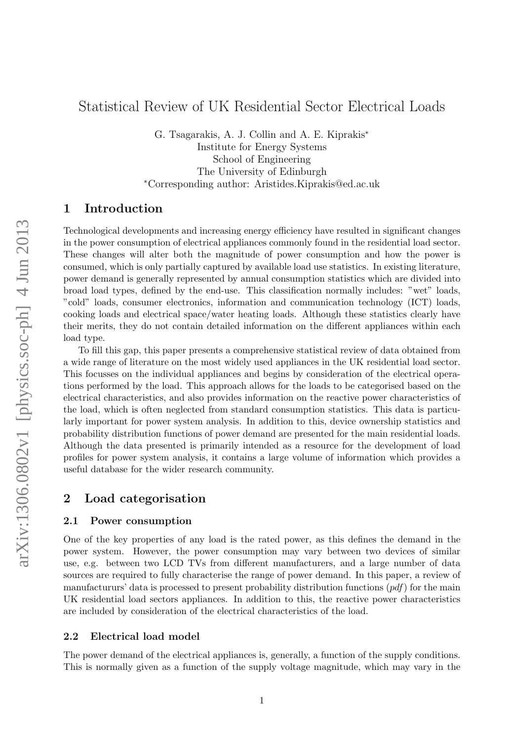# Statistical Review of UK Residential Sector Electrical Loads

G. Tsagarakis, A. J. Collin and A. E. Kiprakis<sup>∗</sup> Institute for Energy Systems School of Engineering The University of Edinburgh <sup>∗</sup>Corresponding author: Aristides.Kiprakis@ed.ac.uk

# 1 Introduction

Technological developments and increasing energy efficiency have resulted in significant changes in the power consumption of electrical appliances commonly found in the residential load sector. These changes will alter both the magnitude of power consumption and how the power is consumed, which is only partially captured by available load use statistics. In existing literature, power demand is generally represented by annual consumption statistics which are divided into broad load types, defined by the end-use. This classification normally includes: "wet" loads, "cold" loads, consumer electronics, information and communication technology (ICT) loads, cooking loads and electrical space/water heating loads. Although these statistics clearly have their merits, they do not contain detailed information on the different appliances within each load type.

To fill this gap, this paper presents a comprehensive statistical review of data obtained from a wide range of literature on the most widely used appliances in the UK residential load sector. This focusses on the individual appliances and begins by consideration of the electrical operations performed by the load. This approach allows for the loads to be categorised based on the electrical characteristics, and also provides information on the reactive power characteristics of the load, which is often neglected from standard consumption statistics. This data is particularly important for power system analysis. In addition to this, device ownership statistics and probability distribution functions of power demand are presented for the main residential loads. Although the data presented is primarily intended as a resource for the development of load profiles for power system analysis, it contains a large volume of information which provides a useful database for the wider research community.

## 2 Load categorisation

#### 2.1 Power consumption

One of the key properties of any load is the rated power, as this defines the demand in the power system. However, the power consumption may vary between two devices of similar use, e.g. between two LCD TVs from different manufacturers, and a large number of data sources are required to fully characterise the range of power demand. In this paper, a review of manufactururs' data is processed to present probability distribution functions  $(pdf)$  for the main UK residential load sectors appliances. In addition to this, the reactive power characteristics are included by consideration of the electrical characteristics of the load.

#### 2.2 Electrical load model

The power demand of the electrical appliances is, generally, a function of the supply conditions. This is normally given as a function of the supply voltage magnitude, which may vary in the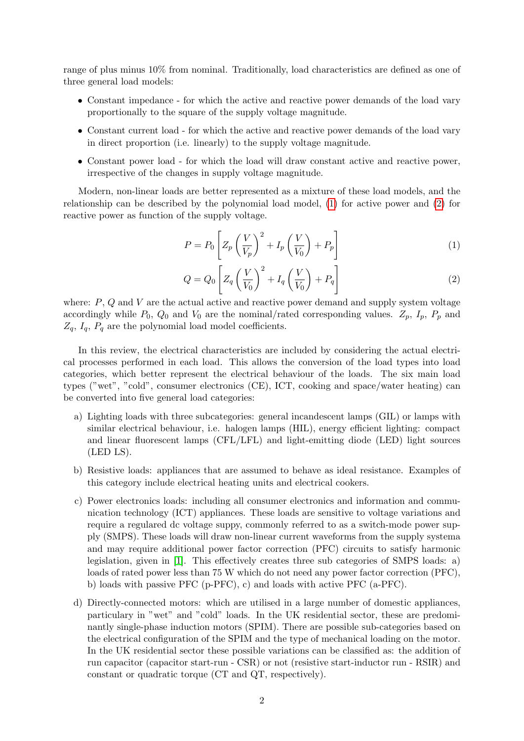range of plus minus 10% from nominal. Traditionally, load characteristics are defined as one of three general load models:

- Constant impedance for which the active and reactive power demands of the load vary proportionally to the square of the supply voltage magnitude.
- Constant current load for which the active and reactive power demands of the load vary in direct proportion (i.e. linearly) to the supply voltage magnitude.
- Constant power load for which the load will draw constant active and reactive power, irrespective of the changes in supply voltage magnitude.

Modern, non-linear loads are better represented as a mixture of these load models, and the relationship can be described by the polynomial load model, [\(1\)](#page-1-0) for active power and [\(2\)](#page-1-1) for reactive power as function of the supply voltage.

<span id="page-1-0"></span>
$$
P = P_0 \left[ Z_p \left( \frac{V}{V_p} \right)^2 + I_p \left( \frac{V}{V_0} \right) + P_p \right] \tag{1}
$$

<span id="page-1-1"></span>
$$
Q = Q_0 \left[ Z_q \left( \frac{V}{V_0} \right)^2 + I_q \left( \frac{V}{V_0} \right) + P_q \right] \tag{2}
$$

where:  $P$ ,  $Q$  and  $V$  are the actual active and reactive power demand and supply system voltage accordingly while  $P_0$ ,  $Q_0$  and  $V_0$  are the nominal/rated corresponding values.  $Z_p$ ,  $I_p$ ,  $P_p$  and  $Z_q$ ,  $I_q$ ,  $P_q$  are the polynomial load model coefficients.

In this review, the electrical characteristics are included by considering the actual electrical processes performed in each load. This allows the conversion of the load types into load categories, which better represent the electrical behaviour of the loads. The six main load types ("wet", "cold", consumer electronics (CE), ICT, cooking and space/water heating) can be converted into five general load categories:

- a) Lighting loads with three subcategories: general incandescent lamps (GIL) or lamps with similar electrical behaviour, i.e. halogen lamps (HIL), energy efficient lighting: compact and linear fluorescent lamps (CFL/LFL) and light-emitting diode (LED) light sources (LED LS).
- b) Resistive loads: appliances that are assumed to behave as ideal resistance. Examples of this category include electrical heating units and electrical cookers.
- c) Power electronics loads: including all consumer electronics and information and communication technology (ICT) appliances. These loads are sensitive to voltage variations and require a regulared dc voltage suppy, commonly referred to as a switch-mode power supply (SMPS). These loads will draw non-linear current waveforms from the supply systema and may require additional power factor correction (PFC) circuits to satisfy harmonic legislation, given in [\[1\]](#page-16-0). This effectively creates three sub categories of SMPS loads: a) loads of rated power less than 75 W which do not need any power factor correction (PFC), b) loads with passive PFC (p-PFC), c) and loads with active PFC (a-PFC).
- d) Directly-connected motors: which are utilised in a large number of domestic appliances, particulary in "wet" and "cold" loads. In the UK residential sector, these are predominantly single-phase induction motors (SPIM). There are possible sub-categories based on the electrical configuration of the SPIM and the type of mechanical loading on the motor. In the UK residential sector these possible variations can be classified as: the addition of run capacitor (capacitor start-run - CSR) or not (resistive start-inductor run - RSIR) and constant or quadratic torque (CT and QT, respectively).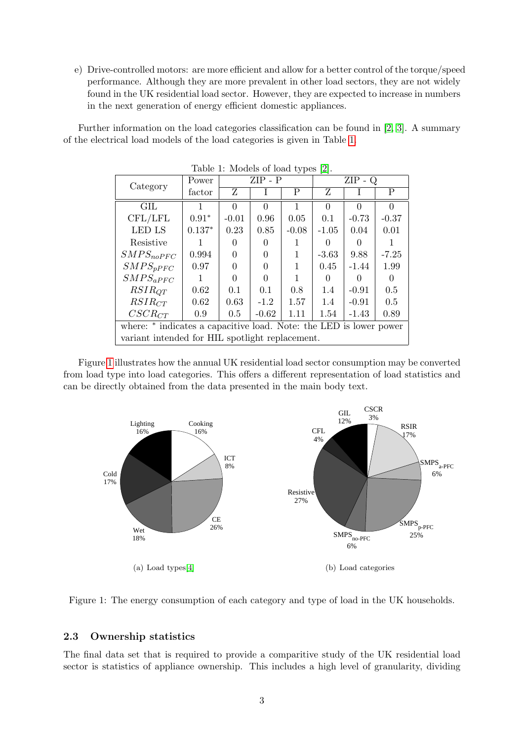e) Drive-controlled motors: are more efficient and allow for a better control of the torque/speed performance. Although they are more prevalent in other load sectors, they are not widely found in the UK residential load sector. However, they are expected to increase in numbers in the next generation of energy efficient domestic appliances.

Further information on the load categories classification can be found in [\[2,](#page-16-1) [3\]](#page-16-2). A summary of the electrical load models of the load categories is given in Table [1.](#page-2-0)

| $\mu$ and $\mu$ , intouch of foad types $\mu$ .                    |          |                  |          |         |              |          |          |
|--------------------------------------------------------------------|----------|------------------|----------|---------|--------------|----------|----------|
| Category                                                           | Power    | $ZIP - P$        |          |         | $ZIP -$<br>Q |          |          |
|                                                                    | factor   | Ζ                |          | P       | Ζ            |          | Ρ        |
| <b>GIL</b>                                                         |          | $\Omega$         | 0        |         | $\Omega$     | $\Omega$ | $\Omega$ |
| CFL/LFL                                                            | $0.91*$  | $-0.01$          | 0.96     | 0.05    | 0.1          | $-0.73$  | $-0.37$  |
| LED LS                                                             | $0.137*$ | 0.23             | 0.85     | $-0.08$ | $-1.05$      | 0.04     | 0.01     |
| Resistive                                                          |          | $\left( \right)$ | $\theta$ | 1       | 0            | 0        |          |
| $SMPS_{noPFC}$                                                     | 0.994    | 0                | 0        | 1       | $-3.63$      | 9.88     | $-7.25$  |
| $SMPS_{pPFC}$                                                      | 0.97     | 0                | 0        | 1       | 0.45         | $-1.44$  | 1.99     |
| $SMPS_{aPFC}$                                                      |          | 0                | $\Omega$ | 1       | 0            | ∩        |          |
| $RSIR_{QT}$                                                        | 0.62     | 0.1              | 0.1      | 0.8     | 1.4          | $-0.91$  | 0.5      |
| $RSIR_{CT}$                                                        | 0.62     | 0.63             | $-1.2$   | 1.57    | 1.4          | $-0.91$  | 0.5      |
| $CSCR_{CT}$                                                        | 0.9      | 0.5              | $-0.62$  | 1.11    | 1.54         | $-1.43$  | 0.89     |
| where: * indicates a capacitive load. Note: the LED is lower power |          |                  |          |         |              |          |          |
| variant intended for HIL spotlight replacement.                    |          |                  |          |         |              |          |          |

<span id="page-2-0"></span>Table 1: Models of load types [\[2\]](#page-16-1).

Figure [1](#page-2-1) illustrates how the annual UK residential load sector consumption may be converted from load type into load categories. This offers a different representation of load statistics and can be directly obtained from the data presented in the main body text.



<span id="page-2-1"></span>

### 2.3 Ownership statistics

The final data set that is required to provide a comparitive study of the UK residential load sector is statistics of appliance ownership. This includes a high level of granularity, dividing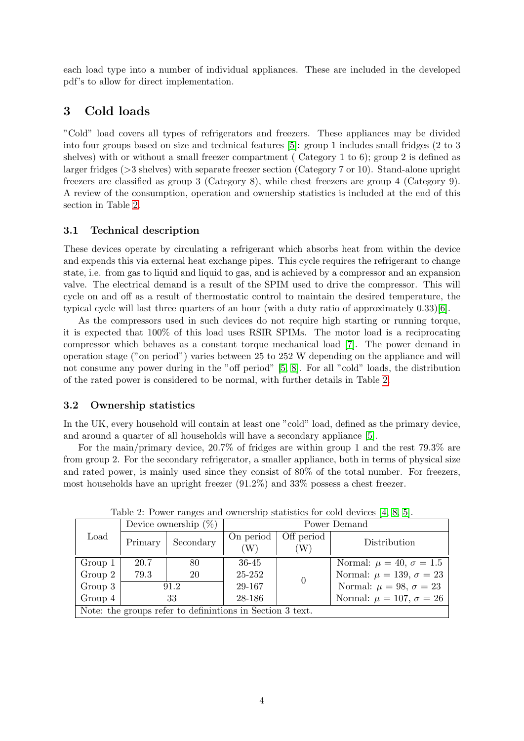each load type into a number of individual appliances. These are included in the developed pdf's to allow for direct implementation.

# 3 Cold loads

"Cold" load covers all types of refrigerators and freezers. These appliances may be divided into four groups based on size and technical features [\[5\]](#page-16-4): group 1 includes small fridges (2 to 3 shelves) with or without a small freezer compartment ( Category 1 to 6); group 2 is defined as larger fridges (>3 shelves) with separate freezer section (Category 7 or 10). Stand-alone upright freezers are classified as group 3 (Category 8), while chest freezers are group 4 (Category 9). A review of the consumption, operation and ownership statistics is included at the end of this section in Table [2.](#page-3-0)

### 3.1 Technical description

These devices operate by circulating a refrigerant which absorbs heat from within the device and expends this via external heat exchange pipes. This cycle requires the refrigerant to change state, i.e. from gas to liquid and liquid to gas, and is achieved by a compressor and an expansion valve. The electrical demand is a result of the SPIM used to drive the compressor. This will cycle on and off as a result of thermostatic control to maintain the desired temperature, the typical cycle will last three quarters of an hour (with a duty ratio of approximately 0.33)[\[6\]](#page-16-5).

As the compressors used in such devices do not require high starting or running torque, it is expected that 100% of this load uses RSIR SPIMs. The motor load is a reciprocating compressor which behaves as a constant torque mechanical load [\[7\]](#page-16-6). The power demand in operation stage ("on period") varies between 25 to 252 W depending on the appliance and will not consume any power during in the "off period" [\[5,](#page-16-4) [8\]](#page-16-7). For all "cold" loads, the distribution of the rated power is considered to be normal, with further details in Table [2.](#page-3-0)

### 3.2 Ownership statistics

In the UK, every household will contain at least one "cold" load, defined as the primary device, and around a quarter of all households will have a secondary appliance [\[5\]](#page-16-4).

For the main/primary device, 20.7% of fridges are within group 1 and the rest 79.3% are from group 2. For the secondary refrigerator, a smaller appliance, both in terms of physical size and rated power, is mainly used since they consist of 80% of the total number. For freezers, most households have an upright freezer (91.2%) and 33% possess a chest freezer.

|                                                           |         | Device ownership $(\%)$ |                |                  | Power Demand                        |
|-----------------------------------------------------------|---------|-------------------------|----------------|------------------|-------------------------------------|
| Load                                                      | Primary | Secondary               | On period<br>W | Off period<br>W) | Distribution                        |
| Group 1                                                   | 20.7    | 80                      | 36-45          |                  | Normal: $\mu = 40, \sigma = 1.5$    |
| Group 2                                                   | 79.3    | 20                      | 25-252         | $\Omega$         | Normal: $\mu = 139$ , $\sigma = 23$ |
| Group 3                                                   | 91.2    |                         | 29-167         |                  | Normal: $\mu = 98$ , $\sigma = 23$  |
| Group 4                                                   | 33      |                         | 28-186         |                  | Normal: $\mu = 107$ , $\sigma = 26$ |
| Note: the groups refer to definintions in Section 3 text. |         |                         |                |                  |                                     |

<span id="page-3-0"></span>Table 2: Power ranges and ownership statistics for cold devices [\[4,](#page-16-3) [8,](#page-16-7) [5\]](#page-16-4).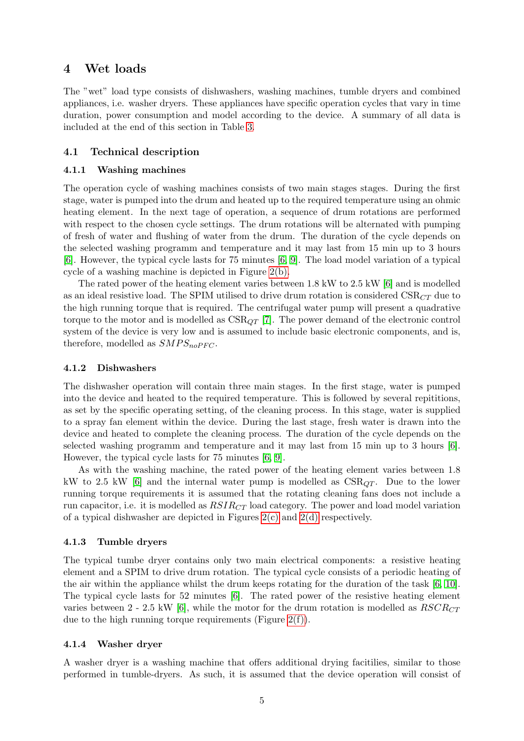## 4 Wet loads

The "wet" load type consists of dishwashers, washing machines, tumble dryers and combined appliances, i.e. washer dryers. These appliances have specific operation cycles that vary in time duration, power consumption and model according to the device. A summary of all data is included at the end of this section in Table [3.](#page-6-0)

### 4.1 Technical description

#### 4.1.1 Washing machines

The operation cycle of washing machines consists of two main stages stages. During the first stage, water is pumped into the drum and heated up to the required temperature using an ohmic heating element. In the next tage of operation, a sequence of drum rotations are performed with respect to the chosen cycle settings. The drum rotations will be alternated with pumping of fresh of water and flushing of water from the drum. The duration of the cycle depends on the selected washing programm and temperature and it may last from 15 min up to 3 hours [\[6\]](#page-16-5). However, the typical cycle lasts for 75 minutes [\[6,](#page-16-5) [9\]](#page-16-8). The load model variation of a typical cycle of a washing machine is depicted in Figure [2\(b\).](#page-5-0)

The rated power of the heating element varies between 1.8 kW to 2.5 kW [\[6\]](#page-16-5) and is modelled as an ideal resistive load. The SPIM utilised to drive drum rotation is considered  $\text{CSR}_{CT}$  due to the high running torque that is required. The centrifugal water pump will present a quadrative torque to the motor and is modelled as  $CSR_{OT}$  [\[7\]](#page-16-6). The power demand of the electronic control system of the device is very low and is assumed to include basic electronic components, and is, therefore, modelled as  $SMPS_{noPFC}$ .

#### 4.1.2 Dishwashers

The dishwasher operation will contain three main stages. In the first stage, water is pumped into the device and heated to the required temperature. This is followed by several repititions, as set by the specific operating setting, of the cleaning process. In this stage, water is supplied to a spray fan element within the device. During the last stage, fresh water is drawn into the device and heated to complete the cleaning process. The duration of the cycle depends on the selected washing programm and temperature and it may last from 15 min up to 3 hours [\[6\]](#page-16-5). However, the typical cycle lasts for 75 minutes [\[6,](#page-16-5) [9\]](#page-16-8).

As with the washing machine, the rated power of the heating element varies between 1.8 kW to 2.5 kW [\[6\]](#page-16-5) and the internal water pump is modelled as  $CSR_{QT}$ . Due to the lower running torque requirements it is assumed that the rotating cleaning fans does not include a run capacitor, i.e. it is modelled as  $RSIR_{CT}$  load category. The power and load model variation of a typical dishwasher are depicted in Figures  $2(c)$  and  $2(d)$  respectively.

#### 4.1.3 Tumble dryers

The typical tumbe dryer contains only two main electrical components: a resistive heating element and a SPIM to drive drum rotation. The typical cycle consists of a periodic heating of the air within the appliance whilst the drum keeps rotating for the duration of the task [\[6,](#page-16-5) [10\]](#page-16-9). The typical cycle lasts for 52 minutes [\[6\]](#page-16-5). The rated power of the resistive heating element varies between 2 - 2.5 kW [\[6\]](#page-16-5), while the motor for the drum rotation is modelled as  $RSCR_{CT}$ due to the high running torque requirements (Figure  $2(f)$ ).

#### 4.1.4 Washer dryer

A washer dryer is a washing machine that offers additional drying facitilies, similar to those performed in tumble-dryers. As such, it is assumed that the device operation will consist of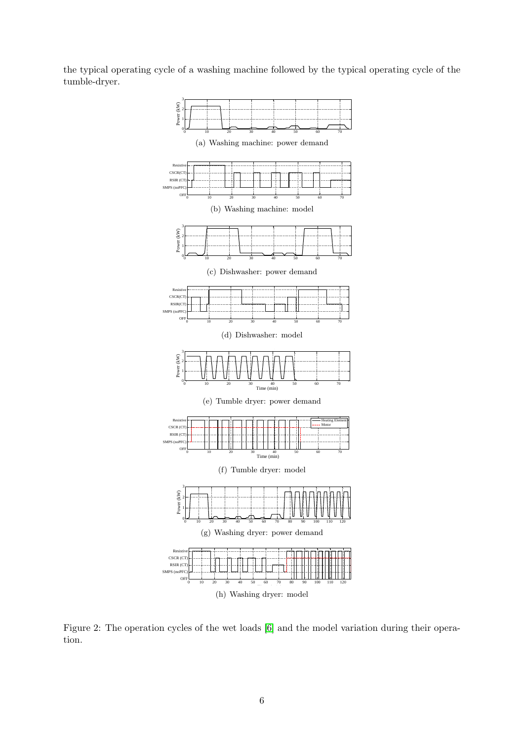<span id="page-5-1"></span>the typical operating cycle of a washing machine followed by the typical operating cycle of the tumble-dryer.

<span id="page-5-2"></span><span id="page-5-0"></span>

<span id="page-5-3"></span>Figure 2: The operation cycles of the wet loads [\[6\]](#page-16-5) and the model variation during their operation.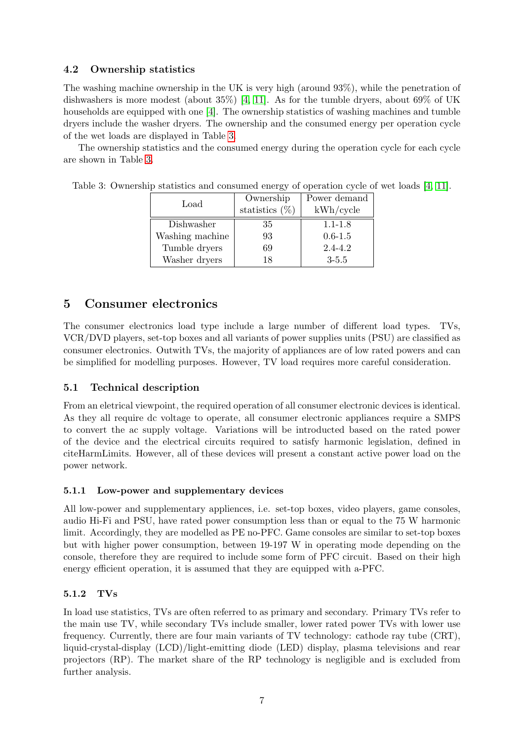## 4.2 Ownership statistics

The washing machine ownership in the UK is very high (around 93%), while the penetration of dishwashers is more modest (about  $35\%$ ) [\[4,](#page-16-3) [11\]](#page-16-10). As for the tumble dryers, about  $69\%$  of UK households are equipped with one [\[4\]](#page-16-3). The ownership statistics of washing machines and tumble dryers include the washer dryers. The ownership and the consumed energy per operation cycle of the wet loads are displayed in Table [3.](#page-6-0)

The ownership statistics and the consumed energy during the operation cycle for each cycle are shown in Table [3.](#page-6-0)

| Load            | Ownership         | Power demand |
|-----------------|-------------------|--------------|
|                 | statistics $(\%)$ | kWh/cycle    |
| Dishwasher      | 35                | $1.1 - 1.8$  |
| Washing machine | 93                | $0.6 - 1.5$  |
| Tumble dryers   | 69                | $2.4 - 4.2$  |
| Washer dryers   | 18                | $3 - 5.5$    |

<span id="page-6-0"></span>Table 3: Ownership statistics and consumed energy of operation cycle of wet loads [\[4,](#page-16-3) [11\]](#page-16-10).

# 5 Consumer electronics

The consumer electronics load type include a large number of different load types. TVs, VCR/DVD players, set-top boxes and all variants of power supplies units (PSU) are classified as consumer electronics. Outwith TVs, the majority of appliances are of low rated powers and can be simplified for modelling purposes. However, TV load requires more careful consideration.

# 5.1 Technical description

From an eletrical viewpoint, the required operation of all consumer electronic devices is identical. As they all require dc voltage to operate, all consumer electronic appliances require a SMPS to convert the ac supply voltage. Variations will be introducted based on the rated power of the device and the electrical circuits required to satisfy harmonic legislation, defined in citeHarmLimits. However, all of these devices will present a constant active power load on the power network.

## 5.1.1 Low-power and supplementary devices

All low-power and supplementary appliences, i.e. set-top boxes, video players, game consoles, audio Hi-Fi and PSU, have rated power consumption less than or equal to the 75 W harmonic limit. Accordingly, they are modelled as PE no-PFC. Game consoles are similar to set-top boxes but with higher power consumption, between 19-197 W in operating mode depending on the console, therefore they are required to include some form of PFC circuit. Based on their high energy efficient operation, it is assumed that they are equipped with a-PFC.

## 5.1.2 TVs

In load use statistics, TVs are often referred to as primary and secondary. Primary TVs refer to the main use TV, while secondary TVs include smaller, lower rated power TVs with lower use frequency. Currently, there are four main variants of TV technology: cathode ray tube (CRT), liquid-crystal-display (LCD)/light-emitting diode (LED) display, plasma televisions and rear projectors (RP). The market share of the RP technology is negligible and is excluded from further analysis.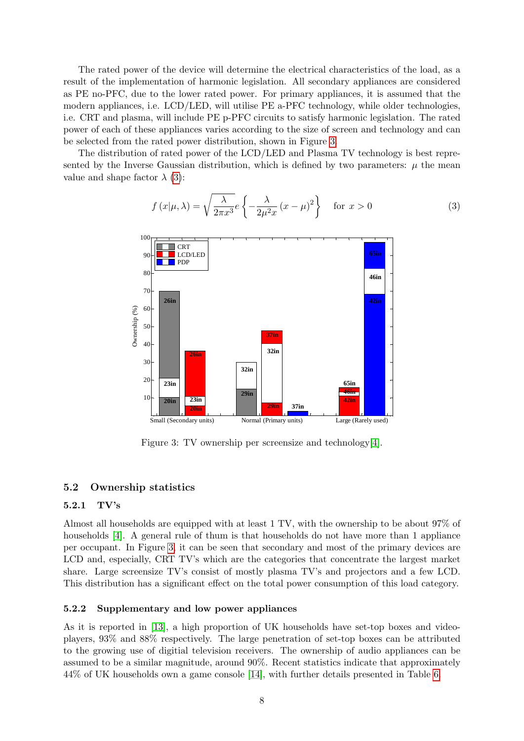The rated power of the device will determine the electrical characteristics of the load, as a result of the implementation of harmonic legislation. All secondary appliances are considered as PE no-PFC, due to the lower rated power. For primary appliances, it is assumed that the modern appliances, i.e. LCD/LED, will utilise PE a-PFC technology, while older technologies, i.e. CRT and plasma, will include PE p-PFC circuits to satisfy harmonic legislation. The rated power of each of these appliances varies according to the size of screen and technology and can be selected from the rated power distribution, shown in Figure [3.](#page-7-0)

The distribution of rated power of the LCD/LED and Plasma TV technology is best represented by the Inverse Gaussian distribution, which is defined by two parameters:  $\mu$  the mean value and shape factor  $\lambda$  [\(3\)](#page-7-1):

<span id="page-7-1"></span>
$$
f(x|\mu,\lambda) = \sqrt{\frac{\lambda}{2\pi x^3}} e \left\{ -\frac{\lambda}{2\mu^2 x} (x-\mu)^2 \right\} \quad \text{for } x > 0
$$
 (3)



<span id="page-7-0"></span>Figure 3: TV ownership per screensize and technology[\[4\]](#page-16-3).

#### 5.2 Ownership statistics

#### 5.2.1 TV's

Almost all households are equipped with at least 1 TV, with the ownership to be about 97% of households [\[4\]](#page-16-3). A general rule of thum is that households do not have more than 1 appliance per occupant. In Figure [3,](#page-7-0) it can be seen that secondary and most of the primary devices are LCD and, especially, CRT TV's which are the categories that concentrate the largest market share. Large screensize TV's consist of mostly plasma TV's and projectors and a few LCD. This distribution has a significant effect on the total power consumption of this load category.

#### 5.2.2 Supplementary and low power appliances

As it is reported in [\[13\]](#page-16-11), a high proportion of UK households have set-top boxes and videoplayers, 93% and 88% respectively. The large penetration of set-top boxes can be attributed to the growing use of digitial television receivers. The ownership of audio appliances can be assumed to be a similar magnitude, around 90%. Recent statistics indicate that approximately 44% of UK households own a game console [\[14\]](#page-17-0), with further details presented in Table [6.](#page-9-0)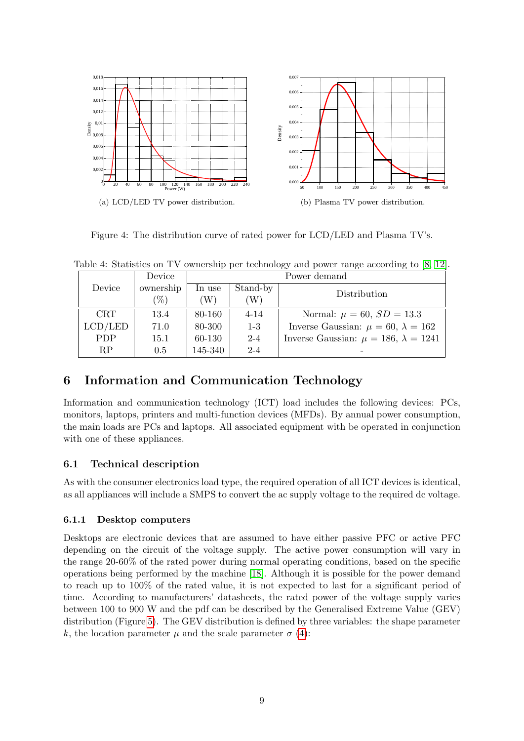

Figure 4: The distribution curve of rated power for LCD/LED and Plasma TV's.

|            | Device    |         | Power demand |                                                  |
|------------|-----------|---------|--------------|--------------------------------------------------|
| Device     | ownership | In use  | Stand-by     | Distribution                                     |
|            | $\%$      | W)      | W)           |                                                  |
| <b>CRT</b> | 13.4      | 80-160  | $4 - 14$     | Normal: $\mu = 60$ , $SD = 13.3$                 |
| LCD/LED    | 71.0      | 80-300  | $1-3$        | Inverse Gaussian: $\mu = 60, \lambda = 162$      |
| <b>PDP</b> | 15.1      | 60-130  | $2 - 4$      | Inverse Gaussian: $\mu = 186$ , $\lambda = 1241$ |
| RP         | 0.5       | 145-340 | $2 - 4$      |                                                  |

Table 4: Statistics on TV ownership per technology and power range according to [\[8,](#page-16-7) [12\]](#page-16-12).

# 6 Information and Communication Technology

Information and communication technology (ICT) load includes the following devices: PCs, monitors, laptops, printers and multi-function devices (MFDs). By annual power consumption, the main loads are PCs and laptops. All associated equipment with be operated in conjunction with one of these appliances.

# 6.1 Technical description

As with the consumer electronics load type, the required operation of all ICT devices is identical, as all appliances will include a SMPS to convert the ac supply voltage to the required dc voltage.

## 6.1.1 Desktop computers

Desktops are electronic devices that are assumed to have either passive PFC or active PFC depending on the circuit of the voltage supply. The active power consumption will vary in the range 20-60% of the rated power during normal operating conditions, based on the specific operations being performed by the machine [\[18\]](#page-17-1). Although it is possible for the power demand to reach up to 100% of the rated value, it is not expected to last for a significant period of time. According to manufacturers' datasheets, the rated power of the voltage supply varies between 100 to 900 W and the pdf can be described by the Generalised Extreme Value (GEV) distribution (Figure [5\)](#page-9-1). The GEV distribution is defined by three variables: the shape parameter k, the location parameter  $\mu$  and the scale parameter  $\sigma$  [\(4\)](#page-9-2):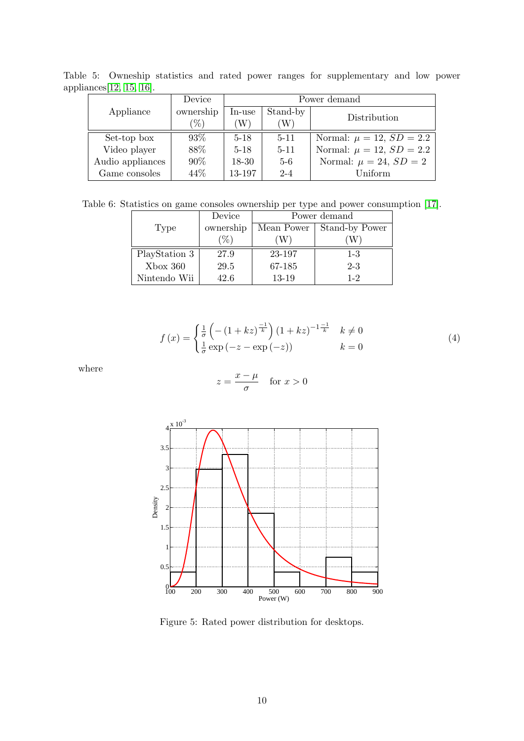Table 5: Owneship statistics and rated power ranges for supplementary and low power appliances[\[12,](#page-16-12) [15,](#page-17-2) [16\]](#page-17-3).

|                  | Device          |           | Power demand               |                                 |  |  |  |
|------------------|-----------------|-----------|----------------------------|---------------------------------|--|--|--|
| Appliance        | ownership       | In-use    | Stand-by                   |                                 |  |  |  |
|                  | $\mathscr{C}_0$ | W         | $\left( \mathrm{W}\right)$ | Distribution                    |  |  |  |
| Set-top box      | $93\%$          | $5 - 18$  | $5 - 11$                   | Normal: $\mu = 12$ , $SD = 2.2$ |  |  |  |
| Video player     | 88\%            | $5 - 18$  | $5 - 11$                   | Normal: $\mu = 12$ , $SD = 2.2$ |  |  |  |
| Audio appliances | $90\%$          | $18 - 30$ | $5-6$                      | Normal: $\mu = 24$ , $SD = 2$   |  |  |  |
| Game consoles    | 44\%            | 13-197    | $2 - 4$                    | Uniform                         |  |  |  |

Table 6: Statistics on game consoles ownership per type and power consumption [\[17\]](#page-17-4).

<span id="page-9-0"></span>

|               | Device    | Power demand |                |  |  |
|---------------|-----------|--------------|----------------|--|--|
| Type          | ownership | Mean Power   | Stand-by Power |  |  |
|               | $\%$      |              |                |  |  |
| PlayStation 3 | 27.9      | 23-197       | $1 - 3$        |  |  |
| $X$ box 360   | 29.5      | 67-185       | $2 - 3$        |  |  |
| Nintendo Wii  | 42.6      | 13-19        | $1 - 2$        |  |  |

$$
f(x) = \begin{cases} \frac{1}{\sigma} \left( - (1 + kz)^{\frac{-1}{k}} \right) (1 + kz)^{-1 \frac{-1}{k}} & k \neq 0\\ \frac{1}{\sigma} \exp(-z - \exp(-z)) & k = 0 \end{cases}
$$
(4)

where

<span id="page-9-2"></span>
$$
z = \frac{x - \mu}{\sigma} \quad \text{for } x > 0
$$



<span id="page-9-1"></span>Figure 5: Rated power distribution for desktops.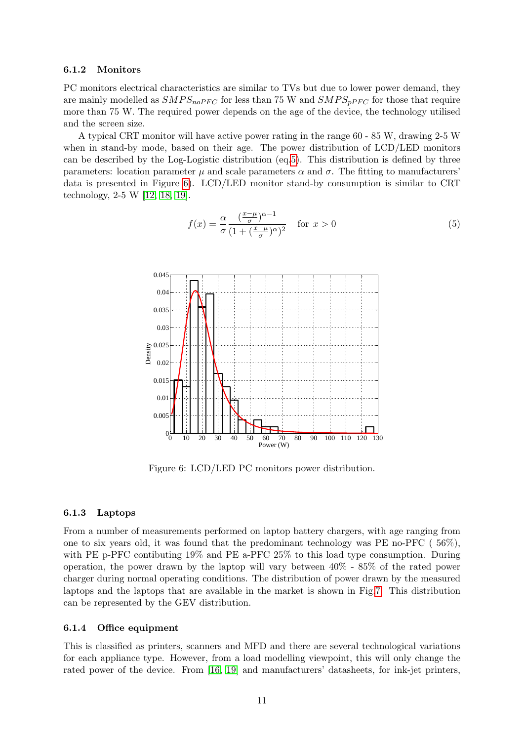#### 6.1.2 Monitors

PC monitors electrical characteristics are similar to TVs but due to lower power demand, they are mainly modelled as  $SMPS_{noPFC}$  for less than 75 W and  $SMPS_{nPFC}$  for those that require more than 75 W. The required power depends on the age of the device, the technology utilised and the screen size.

A typical CRT monitor will have active power rating in the range 60 - 85 W, drawing 2-5 W when in stand-by mode, based on their age. The power distribution of LCD/LED monitors can be described by the Log-Logistic distribution (eq[.5\)](#page-10-0). This distribution is defined by three parameters: location parameter  $\mu$  and scale parameters  $\alpha$  and  $\sigma$ . The fitting to manufacturers' data is presented in Figure [6\)](#page-10-1). LCD/LED monitor stand-by consumption is similar to CRT technology, 2-5 W [\[12,](#page-16-12) [18,](#page-17-1) [19\]](#page-17-5).

<span id="page-10-0"></span>
$$
f(x) = \frac{\alpha}{\sigma} \frac{\left(\frac{x-\mu}{\sigma}\right)^{\alpha-1}}{\left(1 + \left(\frac{x-\mu}{\sigma}\right)^{\alpha}\right)^2} \quad \text{for } x > 0
$$
 (5)



<span id="page-10-1"></span>Figure 6: LCD/LED PC monitors power distribution.

#### 6.1.3 Laptops

From a number of measurements performed on laptop battery chargers, with age ranging from one to six years old, it was found that the predominant technology was PE no-PFC ( 56%), with PE p-PFC contibuting 19% and PE a-PFC 25% to this load type consumption. During operation, the power drawn by the laptop will vary between 40% - 85% of the rated power charger during normal operating conditions. The distribution of power drawn by the measured laptops and the laptops that are available in the market is shown in Fig[.7.](#page-11-0) This distribution can be represented by the GEV distribution.

#### 6.1.4 Office equipment

This is classified as printers, scanners and MFD and there are several technological variations for each appliance type. However, from a load modelling viewpoint, this will only change the rated power of the device. From [\[16,](#page-17-3) [19\]](#page-17-5) and manufacturers' datasheets, for ink-jet printers,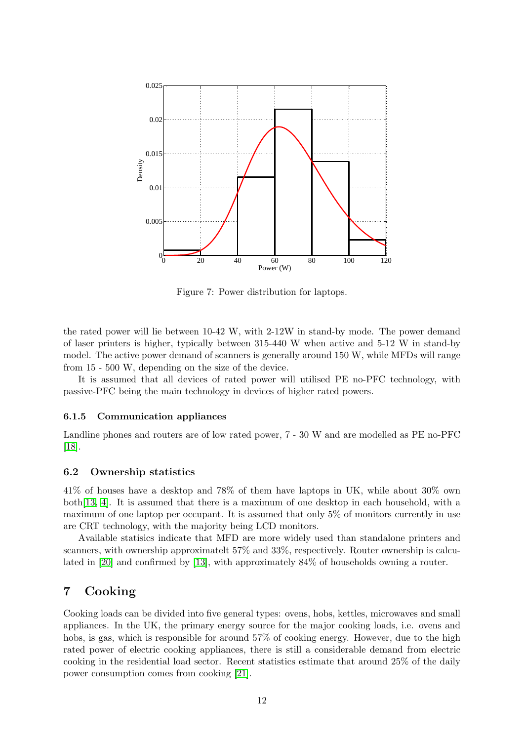

<span id="page-11-0"></span>Figure 7: Power distribution for laptops.

the rated power will lie between 10-42 W, with 2-12W in stand-by mode. The power demand of laser printers is higher, typically between 315-440 W when active and 5-12 W in stand-by model. The active power demand of scanners is generally around 150 W, while MFDs will range from 15 - 500 W, depending on the size of the device.

It is assumed that all devices of rated power will utilised PE no-PFC technology, with passive-PFC being the main technology in devices of higher rated powers.

#### 6.1.5 Communication appliances

Landline phones and routers are of low rated power, 7 - 30 W and are modelled as PE no-PFC [\[18\]](#page-17-1).

#### 6.2 Ownership statistics

41% of houses have a desktop and 78% of them have laptops in UK, while about 30% own both[\[13,](#page-16-11) [4\]](#page-16-3). It is assumed that there is a maximum of one desktop in each household, with a maximum of one laptop per occupant. It is assumed that only 5% of monitors currently in use are CRT technology, with the majority being LCD monitors.

Available statisics indicate that MFD are more widely used than standalone printers and scanners, with ownership approximatelt 57% and 33%, respectively. Router ownership is calculated in [\[20\]](#page-17-6) and confirmed by [\[13\]](#page-16-11), with approximately 84% of households owning a router.

# 7 Cooking

Cooking loads can be divided into five general types: ovens, hobs, kettles, microwaves and small appliances. In the UK, the primary energy source for the major cooking loads, i.e. ovens and hobs, is gas, which is responsible for around  $57\%$  of cooking energy. However, due to the high rated power of electric cooking appliances, there is still a considerable demand from electric cooking in the residential load sector. Recent statistics estimate that around 25% of the daily power consumption comes from cooking [\[21\]](#page-17-7).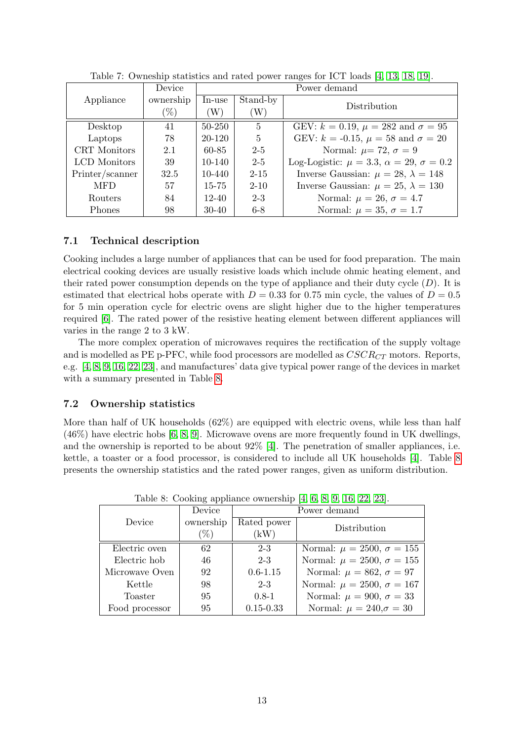|                 | Device    | Power demand |                |                                                            |
|-----------------|-----------|--------------|----------------|------------------------------------------------------------|
| Appliance       | ownership | In-use       | Stand-by       | Distribution                                               |
|                 | $(\%)$    | (W)          | W)             |                                                            |
| Desktop         | 41        | $50 - 250$   | $\overline{5}$ | GEV: $k = 0.19$ , $\mu = 282$ and $\sigma = 95$            |
| Laptops         | 78        | 20-120       | $\mathbf{5}$   | GEV: $k = -0.15$ , $\mu = 58$ and $\sigma = 20$            |
| CRT Monitors    | 2.1       | 60-85        | $2 - 5$        | Normal: $\mu$ = 72, $\sigma$ = 9                           |
| LCD Monitors    | 39        | $10 - 140$   | $2 - 5$        | Log-Logistic: $\mu = 3.3$ , $\alpha = 29$ , $\sigma = 0.2$ |
| Printer/scanner | 32.5      | 10-440       | $2 - 15$       | Inverse Gaussian: $\mu = 28, \lambda = 148$                |
| <b>MFD</b>      | 57        | $15 - 75$    | $2 - 10$       | Inverse Gaussian: $\mu = 25, \lambda = 130$                |
| <b>Routers</b>  | 84        | $12 - 40$    | $2 - 3$        | Normal: $\mu = 26$ , $\sigma = 4.7$                        |
| Phones          | 98        | $30-40$      | $6-8$          | Normal: $\mu = 35$ , $\sigma = 1.7$                        |

Table 7: Owneship statistics and rated power ranges for ICT loads [\[4,](#page-16-3) [13,](#page-16-11) [18,](#page-17-1) [19\]](#page-17-5).

## 7.1 Technical description

Cooking includes a large number of appliances that can be used for food preparation. The main electrical cooking devices are usually resistive loads which include ohmic heating element, and their rated power consumption depends on the type of appliance and their duty cycle  $(D)$ . It is estimated that electrical hobs operate with  $D = 0.33$  for 0.75 min cycle, the values of  $D = 0.5$ for 5 min operation cycle for electric ovens are slight higher due to the higher temperatures required [\[6\]](#page-16-5). The rated power of the resistive heating element between different appliances will varies in the range 2 to 3 kW.

The more complex operation of microwaves requires the rectification of the supply voltage and is modelled as PE p-PFC, while food processors are modelled as  $CSCR_{CT}$  motors. Reports, e.g. [\[4,](#page-16-3) [8,](#page-16-7) [9,](#page-16-8) [16,](#page-17-3) [22,](#page-17-8) [23\]](#page-17-9), and manufactures' data give typical power range of the devices in market with a summary presented in Table [8.](#page-12-0)

## 7.2 Ownership statistics

More than half of UK households (62%) are equipped with electric ovens, while less than half (46%) have electric hobs [\[6,](#page-16-5) [8,](#page-16-7) [9\]](#page-16-8). Microwave ovens are more frequently found in UK dwellings, and the ownership is reported to be about 92% [\[4\]](#page-16-3). The penetration of smaller appliances, i.e. kettle, a toaster or a food processor, is considered to include all UK households [\[4\]](#page-16-3). Table [8](#page-12-0) presents the ownership statistics and the rated power ranges, given as uniform distribution.

|                | Device    | Power demand  |                                     |  |  |  |
|----------------|-----------|---------------|-------------------------------------|--|--|--|
| Device         | ownership | Rated power   | Distribution                        |  |  |  |
|                | $\% )$    | (kW)          |                                     |  |  |  |
| Electric oven  | 62        | $2 - 3$       | Normal: $\mu = 2500, \sigma = 155$  |  |  |  |
| Electric hob   | 46        | $2 - 3$       | Normal: $\mu = 2500, \sigma = 155$  |  |  |  |
| Microwave Oven | 92        | $0.6 - 1.15$  | Normal: $\mu = 862$ , $\sigma = 97$ |  |  |  |
| Kettle         | 98        | $2 - 3$       | Normal: $\mu = 2500, \sigma = 167$  |  |  |  |
| Toaster        | 95        | $0.8-1$       | Normal: $\mu = 900, \sigma = 33$    |  |  |  |
| Food processor | 95        | $0.15 - 0.33$ | Normal: $\mu = 240, \sigma = 30$    |  |  |  |

<span id="page-12-0"></span>Table 8: Cooking appliance ownership [\[4,](#page-16-3) [6,](#page-16-5) [8,](#page-16-7) [9,](#page-16-8) [16,](#page-17-3) [22,](#page-17-8) [23\]](#page-17-9).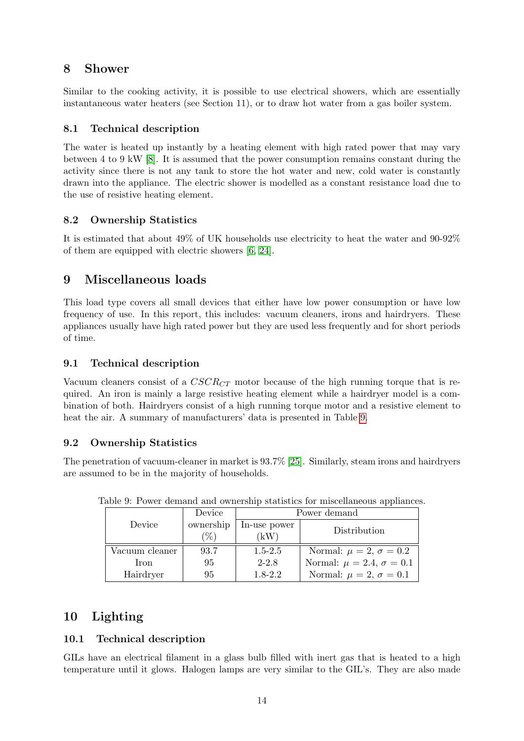# 8 Shower

Similar to the cooking activity, it is possible to use electrical showers, which are essentially instantaneous water heaters (see Section 11), or to draw hot water from a gas boiler system.

# 8.1 Technical description

The water is heated up instantly by a heating element with high rated power that may vary between 4 to 9 kW [\[8\]](#page-16-7). It is assumed that the power consumption remains constant during the activity since there is not any tank to store the hot water and new, cold water is constantly drawn into the appliance. The electric shower is modelled as a constant resistance load due to the use of resistive heating element.

# 8.2 Ownership Statistics

It is estimated that about 49% of UK households use electricity to heat the water and 90-92% of them are equipped with electric showers [\[6,](#page-16-5) [24\]](#page-17-10).

# 9 Miscellaneous loads

This load type covers all small devices that either have low power consumption or have low frequency of use. In this report, this includes: vacuum cleaners, irons and hairdryers. These appliances usually have high rated power but they are used less frequently and for short periods of time.

# 9.1 Technical description

Vacuum cleaners consist of a  $CSCR_{CT}$  motor because of the high running torque that is required. An iron is mainly a large resistive heating element while a hairdryer model is a combination of both. Hairdryers consist of a high running torque motor and a resistive element to heat the air. A summary of manufacturers' data is presented in Table [9.](#page-13-0)

# 9.2 Ownership Statistics

The penetration of vacuum-cleaner in market is 93.7% [\[25\]](#page-17-11). Similarly, steam irons and hairdryers are assumed to be in the majority of households.

<span id="page-13-0"></span>

|                | Device            | Power demand         |                                      |  |
|----------------|-------------------|----------------------|--------------------------------------|--|
| Device         | ownership<br>$\%$ | In-use power<br>`kW` | Distribution                         |  |
| Vacuum cleaner | 93.7              | $1.5 - 2.5$          | Normal: $\mu = 2, \sigma = 0.2$      |  |
| Iron           | 95                | $2 - 2.8$            | Normal: $\mu = 2.4$ , $\sigma = 0.1$ |  |
| Hairdryer      | 95                | $1.8 - 2.2$          | Normal: $\mu = 2, \sigma = 0.1$      |  |

Table 9: Power demand and ownership statistics for miscellaneous appliances.

# 10 Lighting

## 10.1 Technical description

GILs have an electrical filament in a glass bulb filled with inert gas that is heated to a high temperature until it glows. Halogen lamps are very similar to the GIL's. They are also made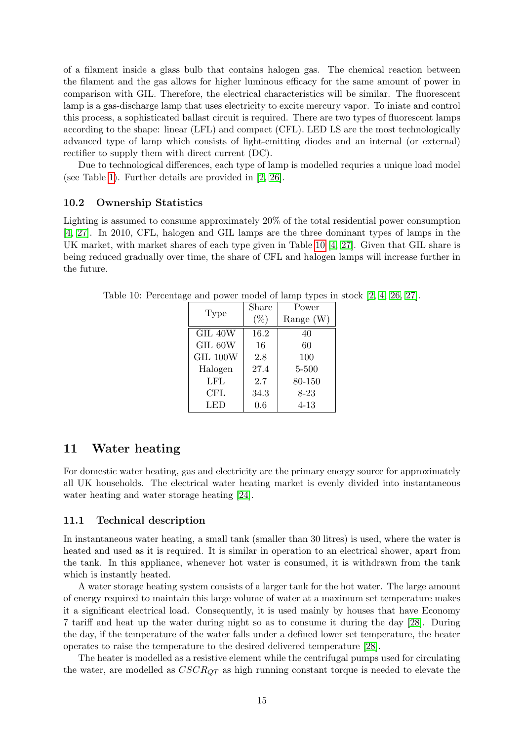of a filament inside a glass bulb that contains halogen gas. The chemical reaction between the filament and the gas allows for higher luminous efficacy for the same amount of power in comparison with GIL. Therefore, the electrical characteristics will be similar. The fluorescent lamp is a gas-discharge lamp that uses electricity to excite mercury vapor. To iniate and control this process, a sophisticated ballast circuit is required. There are two types of fluorescent lamps according to the shape: linear (LFL) and compact (CFL). LED LS are the most technologically advanced type of lamp which consists of light-emitting diodes and an internal (or external) rectifier to supply them with direct current (DC).

Due to technological differences, each type of lamp is modelled requries a unique load model (see Table [1\)](#page-2-0). Further details are provided in [\[2,](#page-16-1) [26\]](#page-17-12).

#### 10.2 Ownership Statistics

Lighting is assumed to consume approximately 20% of the total residential power consumption [\[4,](#page-16-3) [27\]](#page-17-13). In 2010, CFL, halogen and GIL lamps are the three dominant types of lamps in the UK market, with market shares of each type given in Table [10](#page-14-0) [\[4,](#page-16-3) [27\]](#page-17-13). Given that GIL share is being reduced gradually over time, the share of CFL and halogen lamps will increase further in the future.

<span id="page-14-0"></span>

| Type         | Share  | Power       |
|--------------|--------|-------------|
|              | $(\%)$ | Range $(W)$ |
| GIL 40W      | 16.2   | 40          |
| GIL 60W      | 16     | 60          |
| GIL 100W     | 2.8    | 100         |
| Halogen      | 27.4   | 5-500       |
| LFL          | 2.7    | 80-150      |
| $_{\rm CFL}$ | 34.3   | $8 - 23$    |
| LED          | 0.6    | $4 - 13$    |

Table 10: Percentage and power model of lamp types in stock [\[2,](#page-16-1) [4,](#page-16-3) [26,](#page-17-12) [27\]](#page-17-13).

### 11 Water heating

For domestic water heating, gas and electricity are the primary energy source for approximately all UK households. The electrical water heating market is evenly divided into instantaneous water heating and water storage heating [\[24\]](#page-17-10).

#### 11.1 Technical description

In instantaneous water heating, a small tank (smaller than 30 litres) is used, where the water is heated and used as it is required. It is similar in operation to an electrical shower, apart from the tank. In this appliance, whenever hot water is consumed, it is withdrawn from the tank which is instantly heated.

A water storage heating system consists of a larger tank for the hot water. The large amount of energy required to maintain this large volume of water at a maximum set temperature makes it a significant electrical load. Consequently, it is used mainly by houses that have Economy 7 tariff and heat up the water during night so as to consume it during the day [\[28\]](#page-17-14). During the day, if the temperature of the water falls under a defined lower set temperature, the heater operates to raise the temperature to the desired delivered temperature [\[28\]](#page-17-14).

The heater is modelled as a resistive element while the centrifugal pumps used for circulating the water, are modelled as  $CSCR_{OT}$  as high running constant torque is needed to elevate the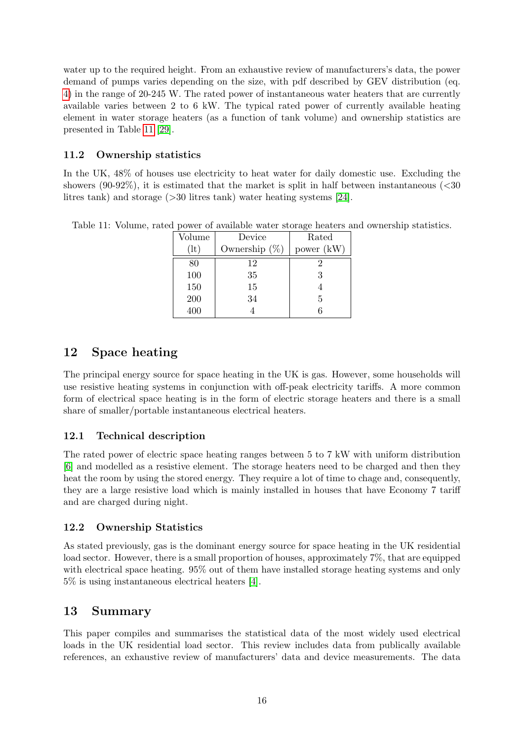water up to the required height. From an exhaustive review of manufacturers's data, the power demand of pumps varies depending on the size, with pdf described by GEV distribution (eq. [4\)](#page-9-2) in the range of 20-245 W. The rated power of instantaneous water heaters that are currently available varies between 2 to 6 kW. The typical rated power of currently available heating element in water storage heaters (as a function of tank volume) and ownership statistics are presented in Table [11](#page-15-0) [\[29\]](#page-17-15).

## 11.2 Ownership statistics

In the UK, 48% of houses use electricity to heat water for daily domestic use. Excluding the showers (90-92%), it is estimated that the market is split in half between instantaneous  $\langle$  <30 litres tank) and storage (>30 litres tank) water heating systems [\[24\]](#page-17-10).

| Volume | Device           | Rated      |
|--------|------------------|------------|
| (1t)   | Ownership $(\%)$ | power (kW) |
| 80     | 12               | '2         |
| 100    | 35               | 3          |
| 150    | 15               |            |
| 200    | 34               | 5          |
| 400    |                  |            |

<span id="page-15-0"></span>Table 11: Volume, rated power of available water storage heaters and ownership statistics.

# 12 Space heating

The principal energy source for space heating in the UK is gas. However, some households will use resistive heating systems in conjunction with off-peak electricity tariffs. A more common form of electrical space heating is in the form of electric storage heaters and there is a small share of smaller/portable instantaneous electrical heaters.

## 12.1 Technical description

The rated power of electric space heating ranges between 5 to 7 kW with uniform distribution [\[6\]](#page-16-5) and modelled as a resistive element. The storage heaters need to be charged and then they heat the room by using the stored energy. They require a lot of time to chage and, consequently, they are a large resistive load which is mainly installed in houses that have Economy 7 tariff and are charged during night.

## 12.2 Ownership Statistics

As stated previously, gas is the dominant energy source for space heating in the UK residential load sector. However, there is a small proportion of houses, approximately 7%, that are equipped with electrical space heating. 95% out of them have installed storage heating systems and only 5% is using instantaneous electrical heaters [\[4\]](#page-16-3).

# 13 Summary

This paper compiles and summarises the statistical data of the most widely used electrical loads in the UK residential load sector. This review includes data from publically available references, an exhaustive review of manufacturers' data and device measurements. The data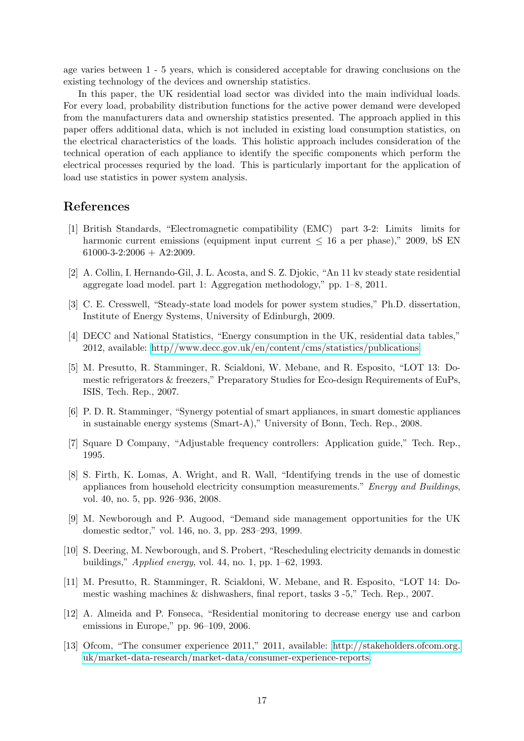age varies between 1 - 5 years, which is considered acceptable for drawing conclusions on the existing technology of the devices and ownership statistics.

In this paper, the UK residential load sector was divided into the main individual loads. For every load, probability distribution functions for the active power demand were developed from the manufacturers data and ownership statistics presented. The approach applied in this paper offers additional data, which is not included in existing load consumption statistics, on the electrical characteristics of the loads. This holistic approach includes consideration of the technical operation of each appliance to identify the specific components which perform the electrical processes requried by the load. This is particularly important for the application of load use statistics in power system analysis.

# References

- <span id="page-16-0"></span>[1] British Standards, "Electromagnetic compatibility (EMC) part 3-2: Limits limits for harmonic current emissions (equipment input current  $\leq 16$  a per phase)," 2009, bS EN  $61000-3-2:2006 + A2:2009$ .
- <span id="page-16-1"></span>[2] A. Collin, I. Hernando-Gil, J. L. Acosta, and S. Z. Djokic, "An 11 kv steady state residential aggregate load model. part 1: Aggregation methodology," pp. 1–8, 2011.
- <span id="page-16-2"></span>[3] C. E. Cresswell, "Steady-state load models for power system studies," Ph.D. dissertation, Institute of Energy Systems, University of Edinburgh, 2009.
- <span id="page-16-3"></span>[4] DECC and National Statistics, "Energy consumption in the UK, residential data tables," 2012, available: [http//www.decc.gov.uk/en/content/cms/statistics/publications.](http //www.decc.gov.uk/en/content/cms/statistics/publications)
- <span id="page-16-4"></span>[5] M. Presutto, R. Stamminger, R. Scialdoni, W. Mebane, and R. Esposito, "LOT 13: Domestic refrigerators & freezers," Preparatory Studies for Eco-design Requirements of EuPs, ISIS, Tech. Rep., 2007.
- <span id="page-16-5"></span>[6] P. D. R. Stamminger, "Synergy potential of smart appliances, in smart domestic appliances in sustainable energy systems (Smart-A)," University of Bonn, Tech. Rep., 2008.
- <span id="page-16-6"></span>[7] Square D Company, "Adjustable frequency controllers: Application guide," Tech. Rep., 1995.
- <span id="page-16-7"></span>[8] S. Firth, K. Lomas, A. Wright, and R. Wall, "Identifying trends in the use of domestic appliances from household electricity consumption measurements." Energy and Buildings, vol. 40, no. 5, pp. 926–936, 2008.
- <span id="page-16-8"></span>[9] M. Newborough and P. Augood, "Demand side management opportunities for the UK domestic sedtor," vol. 146, no. 3, pp. 283–293, 1999.
- <span id="page-16-9"></span>[10] S. Deering, M. Newborough, and S. Probert, "Rescheduling electricity demands in domestic buildings," Applied energy, vol. 44, no. 1, pp. 1–62, 1993.
- <span id="page-16-10"></span>[11] M. Presutto, R. Stamminger, R. Scialdoni, W. Mebane, and R. Esposito, "LOT 14: Domestic washing machines & dishwashers, final report, tasks 3 -5," Tech. Rep., 2007.
- <span id="page-16-12"></span>[12] A. Almeida and P. Fonseca, "Residential monitoring to decrease energy use and carbon emissions in Europe," pp. 96–109, 2006.
- <span id="page-16-11"></span>[13] Ofcom, "The consumer experience 2011," 2011, available: [http://stakeholders.ofcom.org.](http://stakeholders.ofcom.org.uk/market-data-research/market-data/consumer-experience-reports) [uk/market-data-research/market-data/consumer-experience-reports.](http://stakeholders.ofcom.org.uk/market-data-research/market-data/consumer-experience-reports)